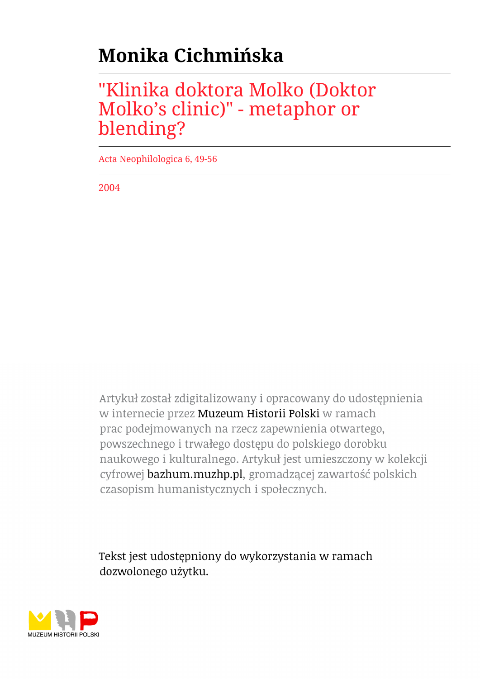# **Monika Cichmińska**

## "Klinika doktora Molko (Doktor Molko's clinic)" - metaphor or blending?

Acta Neophilologica 6, 49-56

2004

Artykuł został zdigitalizowany i opracowany do udostępnienia w internecie przez Muzeum Historii Polski w ramach prac podejmowanych na rzecz zapewnienia otwartego, powszechnego i trwałego dostępu do polskiego dorobku naukowego i kulturalnego. Artykuł jest umieszczony w kolekcji cyfrowej bazhum.muzhp.pl, gromadzącej zawartość polskich czasopism humanistycznych i społecznych.

Tekst jest udostępniony do wykorzystania w ramach dozwolonego użytku.

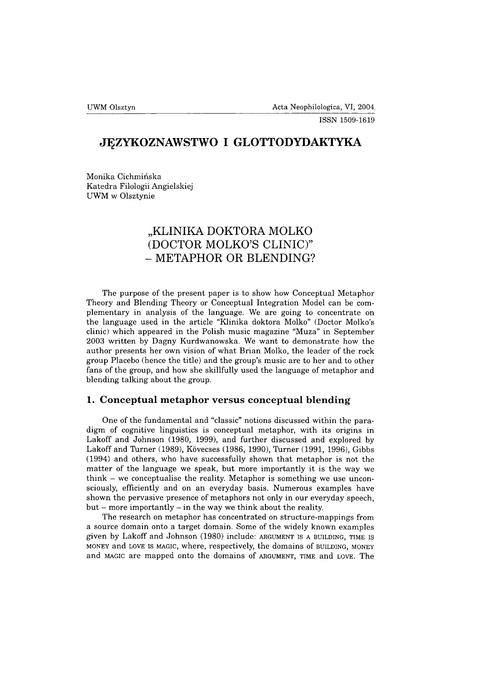### **JĘZYKOZNAWSTWO I GLOTTODYDAKTYKA**

Monika Cichmińska Katedra Filologii Angielskiej UWM w Olsztynie

## **"KLINIKA DOKTORA MOLKO (DOCTOR MOLKO'S CLINIC)" - METAPHOR OR BLENDING?**

The purpose of the present paper is to show how Conceptual Metaphor Theory and Blending Theory or Conceptual Integration Model can be complementary in analysis of the language. We are going to concentrate on the language used in the article "Klinika doktora Molko" (Doctor Molko's clinic) which appeared in the Polish music magazine "Muza" in September 2003 written by Dagny Kurdwanowska. We want to demonstrate how the author presents her own vision of what Brian Molko, the leader of the rock group Placebo (hence the title) and the group's music are to her and to other fans of the group, and how she skillfully used the language of metaphor and blending talking about the group.

#### **1. Conceptual metaphor versus conceptual blending**

One of the fundamental and "classic" notions discussed within the paradigm of cognitive linguistics is conceptual metaphor, with its origins in Lakoff and Johnson (1980, 1999), and further discussed and explored by Lakoff and Turner (1989), Kovecses (1986, 1990), Turner (1991, 1996), Gibbs (1994) and others, who have successfully shown that metaphor is not the matter of the language we speak, but more importantly it is the way we think - we conceptualise the reality. Metaphor is something we use unconsciously, efficiently and on an everyday basis. Numerous examples have shown the pervasive presence of metaphors not only in our everyday speech,  $but – more importantly – in the way we think about the reality.$ 

The research on metaphor has concentrated on structure-mappings from a source domain onto a target domain. Some of the widely known examples given by Lakoff and Johnson (1980) include: argument is <sup>a</sup> building, time is money and LOVE IS MAGIC, where, respectively, the domains of BUILDING, MONEY and magic are mapped onto the domains of argument, time and love. The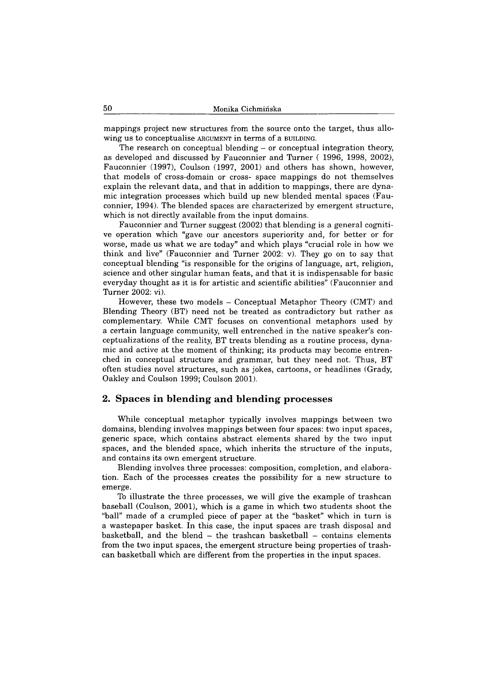mappings project new structures from the source onto the target, thus allowing us to conceptualise ARGUMENT in terms of a BUILDING.

The research on conceptual blending – or conceptual integration theory, as developed and discussed by Fauconnier and Turner ( 1996, 1998, 2002), Fauconnier (1997), Coulson (1997, 2001) and others has shown, however, that models of cross-domain or cross- space mappings do not themselves explain the relevant data, and that in addition to mappings, there are dynamic integration processes which build up new blended mental spaces (Fauconnier, 1994). The blended spaces are characterized by emergent structure, which is not directly available from the input domains.

Fauconnier and Turner suggest (2002) that blending is a general cognitive operation which "gave our ancestors superiority and, for better or for worse, made us what we are today" and which plays "crucial role in how we think and live" (Fauconnier and Turner 2002: v). They go on to say that conceptual blending "is responsible for the origins of language, art, religion, science and other singular human feats, and that it is indispensable for basic everyday thought as it is for artistic and scientific abilities" (Fauconnier and Turner 2002: vi).

However, these two models — Conceptual Metaphor Theory (CMT) and Blending Theory (BT) need not be treated as contradictory but rather as complementary. While CMT focuses on conventional metaphors used by a certain language community, well entrenched in the native speaker's conceptualizations of the reality, BT treats blending as a routine process, dynamic and active at the moment of thinking; its products may become entrenched in conceptual structure and grammar, but they need not. Thus, BT often studies novel structures, such as jokes, cartoons, or headlines (Grady, Oakley and Coulson 1999; Coulson 2001).

#### 2. Spaces in blending and blending processes

While conceptual metaphor typically involves mappings between two domains, blending involves mappings between four spaces: two input spaces, generic space, which contains abstract elements shared by the two input spaces, and the blended space, which inherits the structure of the inputs, and contains its own emergent structure.

Blending involves three processes: composition, completion, and elaboration. Each of the processes creates the possibility for a new structure to emerge.

To illustrate the three processes, we will give the example of trashcan baseball (Coulson, 2001), which is a game in which two students shoot the "ball" made of a crumpled piece of paper at the "basket" which in turn is a wastepaper basket. In this case, the input spaces are trash disposal and basketball, and the blend  $-$  the trashcan basketball  $-$  contains elements from the two input spaces, the emergent structure being properties of trashcan basketball which are different from the properties in the input spaces.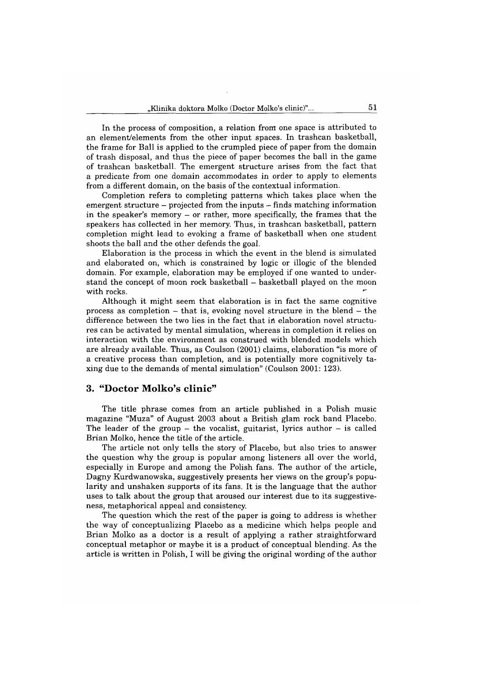In the process of composition, a relation from one space is attributed to an element/elements from the other input spaces. In trashcan basketball, the frame for Ball is applied to the crumpled piece of paper from the domain of trash disposal, and thus the piece of paper becomes the ball in the game of trashcan basketball. The emergent structure arises from the fact that a predicate from one domain accommodates in order to apply to elements from a different domain, on the basis of the contextual information.

Completion refers to completing patterns which takes place when the emergent structure – projected from the inputs – finds matching information in the speaker's memory - or rather, more specifically, the frames that the speakers has collected in her memory. Thus, in trashcan basketball, pattern completion might lead to evoking a frame of basketball when one student shoots the ball and the other defends the goal.

Elaboration is the process in which the event in the blend is simulated and elaborated on, which is constrained by logic or illogic of the blended domain. For example, elaboration may be employed if one wanted to understand the concept of moon rock basketball - basketball played on the moon with rocks.

Although it might seem that elaboration is in fact the same cognitive process as completion  $-$  that is, evoking novel structure in the blend  $-$  the difference between the two lies in the fact that in elaboration novel structures can be activated by mental simulation, whereas in completion it relies on interaction with the environment as construed with blended models which are already available. Thus, as Coulson (2001) claims, elaboration "is more of a creative process than completion, and is potentially more cognitively taxing due to the demands of mental simulation" (Coulson 2001: 123).

#### **3. "D octor M olko's clin ic"**

The title phrase comes from an article published in a Polish music magazine "Muza" of August 2003 about a British glam rock band Placebo. The leader of the group – the vocalist, guitarist, lyrics author – is called Brian Molko, hence the title of the article.

The article not only tells the story of Placebo, but also tries to answer the question why the group is popular among listeners all over the world, especially in Europe and among the Polish fans. The author of the article, Dagny Kurdwanowska, suggestively presents her views on the group's popularity and unshaken supports of its fans. It is the language that the author uses to talk about the group that aroused our interest due to its suggestiveness, metaphorical appeal and consistency.

The question which the rest of the paper is going to address is whether the way of conceptualizing Placebo as a medicine which helps people and Brian Molko as a doctor is a result of applying a rather straightforward conceptual metaphor or maybe it is a product of conceptual blending. As the article is written in Polish, I will be giving the original wording of the author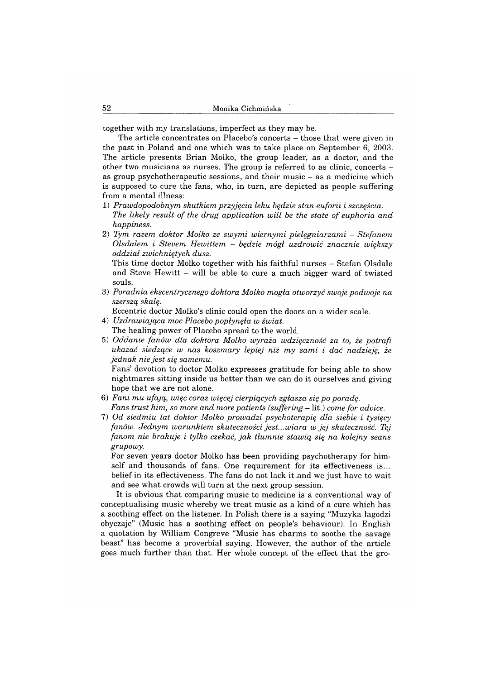together with my translations, imperfect as they may be.

The article concentrates on Placebo's concerts — those that were given in the past in Poland and one which was to take place on September 6, 2003. The article presents Brian Molko, the group leader, as a doctor, and the other two musicians as nurses. The group is referred to as clinic, concerts as group psychotherapeutic sessions, and their music - as a medicine which is supposed to cure the fans, who, in turn, are depicted as people suffering from a mental illness:

- 1) *Prawdopodobnym skutkiem przyjęcia leku będzie stan euforii i szczęścia. The likely result of the drug application will be the state of euphoria and happiness.*
- 2) *Tym razem doktor Molko ze swymi wiernymi pielęgniarzami Stefanem Olsdalem i Stecem Hewittem* - *będzie mógł uzdrowić znacznie większy oddział zwichniętych dusz.*

This time doctor Molko together with his faithful nurses - Stefan Olsdale and Steve Hewitt - will be able to cure a much bigger ward of twisted souls.

3) *Poradnia ekscentrycznego doktora Molko mogła otworzyć swoje podwoje na szerszą skalę.*

Eccentric doctor Molko's clinic could open the doors on a wider scale.

- 4) *Uzdrawiająca moc Placebo popłynęła w świat.* The healing power of Placebo spread to the world.
- 5) *Oddanie fanów dla doktora Molko wyraża wdzięczność za to, że potrafi ukazać siedzące w nas koszmary lepiej niż my sami i dać nadzieję, że jednak nie jest się samemu.*

Fans' devotion to doctor Molko expresses gratitude for being able to show nightmares sitting inside us better than we can do it ourselves and giving hope that we are not alone.

- 6) *Fani mu ufają, więc coraz więcej cierpiących zgłasza się po poradę. Fans trust him, so more and more patients (suffering* — lit.) *come for advice.*
- 7) *Od siedmiu lat doktor Molko prowadzi psychoterapię dla siebie i tysięcy fanów. Jednym warunkiem skuteczności jest... wiara w jej skuteczność. Tej fanom nie brakuje i tylko czekać, jak tłumnie stawią się na kolejny seans grupowy.*

For seven years doctor Molko has been providing psychotherapy for himself and thousands of fans. One requirement for its effectiveness is... belief in its effectiveness. The fans do not lack it .and we just have to wait and see what crowds will turn at the next group session.

It is obvious that comparing music to medicine is a conventional way of conceptualising music whereby we treat music as a kind of a cure which has a soothing effect on the listener. In Polish there is a saying "Muzyka łagodzi obyczaje" (Music has a soothing effect on people's behaviour). In English a quotation by William Congreve "Music has charms to soothe the savage beast" has become a proverbial saying. However, the author of the article goes much further than that. Her whole concept of the effect that the gro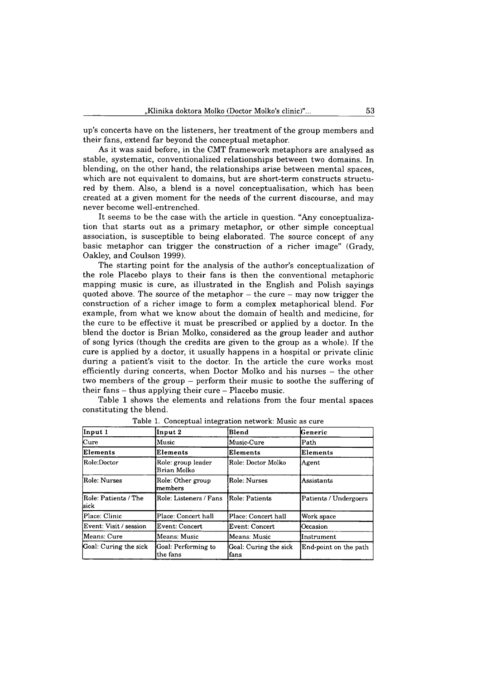up's concerts have on the listeners, her treatment of the group members and their fans, extend far beyond the conceptual metaphor.

As it was said before, in the CMT framework metaphors are analysed as stable, systematic, conventionalized relationships between two domains. In blending, on the other hand, the relationships arise between mental spaces, which are not equivalent to domains, but are short-term constructs structured by them. Also, a blend is a novel conceptualisation, which has been created at a given moment for the needs of the current discourse, and may never become well-entrenched.

It seems to be the case with the article in question. "Any conceptualization that starts out as a primary metaphor, or other simple conceptual association, is susceptible to being elaborated. The source concept of any basic metaphor can trigger the construction of a richer image" (Grady, Oakley, and Coulson 1999).

The starting point for the analysis of the author's conceptualization of the role Placebo plays to their fans is then the conventional metaphoric mapping music is cure, as illustrated in the English and Polish sayings quoted above. The source of the metaphor  $-$  the cure  $-$  may now trigger the construction of a richer image to form a complex metaphorical blend. For example, from what we know about the domain of health and medicine, for the cure to be effective it must be prescribed or applied by a doctor. In the blend the doctor is Brian Molko, considered as the group leader and author of song lyrics (though the credits are given to the group as a whole). If the cure is applied by a doctor, it usually happens in a hospital or private clinic during a patient's visit to the doctor. In the article the cure works most efficiently during concerts, when Doctor Molko and his nurses – the other two members of the group — perform their music to soothe the suffering of their fans - thus applying their cure — Placebo music.

Table 1 shows the elements and relations from the four mental spaces constituting the blend.

| Input 1                      | Input 2                           | Blend                         | Generic               |
|------------------------------|-----------------------------------|-------------------------------|-----------------------|
| $_{\rm Cure}$                | Music                             | Music-Cure                    | Path                  |
| Elements                     | Elements                          | Elements                      | Elements              |
| Role:Doctor                  | Role: group leader<br>Brian Molko | Role: Doctor Molko            | Agent                 |
| Role: Nurses                 | Role: Other group<br>members      | Role: Nurses                  | Assistants            |
| Role: Patients / The<br>sick | Role: Listeners / Fans            | Role: Patients                | Patients / Undergoers |
| Place: Clinic                | Place: Concert hall               | Place: Concert hall           | Work space            |
| Event: Visit / session       | <b>Event: Concert</b>             | Event: Concert                | <b>lOccasion</b>      |
| Means: Cure                  | Means: Music                      | Means: Music                  | Instrument            |
| Goal: Curing the sick        | Goal: Performing to<br>the fans   | Goal: Curing the sick<br>fans | End-point on the path |

**Table 1. Conceptual integration network: Music as cure**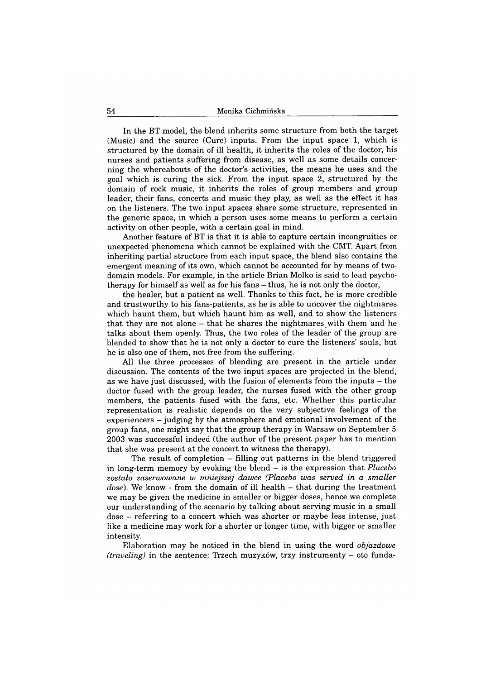In the BT model, the blend inherits some structure from both the target (Music) and the source (Cure) inputs. From the input space 1, which is structured by the domain of ill health, it inherits the roles of the doctor, his nurses and patients suffering from disease, as well as some details concerning the whereabouts of the doctor's activities, the means he uses and the goal which is curing the sick. From the input space 2, structured by the domain of rock music, it inherits the roles of group members and group leader, their fans, concerts and music they play, as well as the effect it has on the listeners. The two input spaces share some structure, represented in the generic space, in which a person uses some means to perform a certain activity on other people, with a certain goal in mind.

Another feature of BT is that it is able to capture certain incongruities or unexpected phenomena which cannot be explained with the CMT. Apart from inheriting partial structure from each input space, the blend also contains the emergent meaning of its own, which cannot be accounted for by means of twodomain models. For example, in the article Brian Molko is said to lead psychotherapy for himself as well as for his fans  $-$  thus, he is not only the doctor,

the healer, but a patient as well. Thanks to this fact, he is more credible and trustworthy to his fans-patients, as he is able to uncover the nightmares which haunt them, but which haunt him as well, and to show the listeners that they are not alone - that he shares the nightmares with them and he talks about them openly. Thus, the two roles of the leader of the group are blended to show that he is not only a doctor to cure the listeners' souls, but he is also one of them, not free from the suffering.

All the three processes of blending are present in the article under discussion. The contents of the two input spaces are projected in the blend, as we have just discussed, with the fusion of elements from the inputs - the doctor fused with the group leader, the nurses fused with the other group members, the patients fused with the fans, etc. Whether this particular representation is realistic depends on the very subjective feelings of the experiencers - judging by the atmosphere and emotional involvement of the group fans, one might say that the group therapy in Warsaw on September 5 2003 was successful indeed (the author of the present paper has to mention that she was present at the concert to witness the therapy).

The result of completion — filling out patterns in the blend triggered in long-term memory by evoking the blend - is the expression that *Placebo zostało zaserwowane w mniejszej dawce (Placebo was served in a smaller* dose). We know - from the domain of ill health – that during the treatment we may be given the medicine in smaller or bigger doses, hence we complete our understanding of the scenario by talking about serving music in a small dose - referring to a concert which was shorter or maybe less intense, just like a medicine may work for a shorter or longer time, with bigger or smaller intensity.

Elaboration may be noticed in the blend in using the word *objazdowe (traveling)* in the sentence: Trzech muzyków, trzy instrumenty - oto funda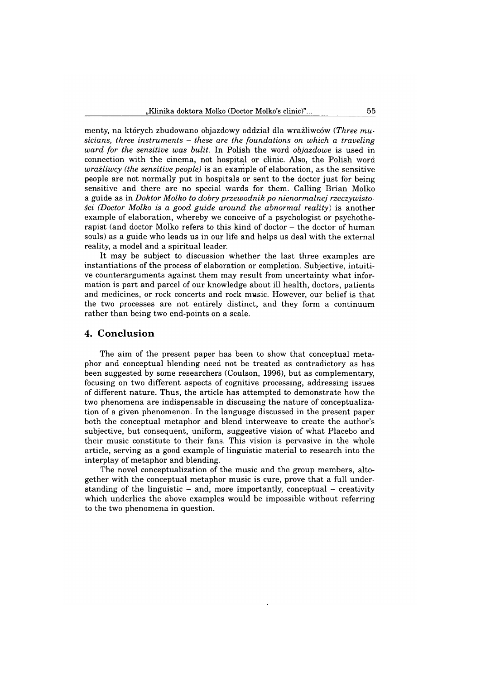menty, na których zbudowano objazdowy oddział dla wrażliwców *(Three musicians, three instruments - these are the foundations on which a traveling ward for the sensitive was bulit.* In Polish the word *objazdowe* is used in connection with the cinema, not hospital or clinic. Also, the Polish word *wrailiwcy (the sensitive people)* is an example of elaboration, as the sensitive people are not normally put in hospitals or sent to the doctor just for being sensitive and there are no special wards for them. Calling Brian Molko a guide as in *Doktor Molko to dobry przewodnik po nienormalnej rzeczywistości (Doctor Molko is a good guide around the abnormal reality)* is another example of elaboration, whereby we conceive of a psychologist or psychotherapist (and doctor Molko refers to this kind of doctor  $-$  the doctor of human souls) as a guide who leads us in our life and helps us deal with the external reality, a model and a spiritual leader.

It may be subject to discussion whether the last three examples are instantiations of the process of elaboration or completion. Subjective, intuitive counterarguments against them may result from uncertainty what information is part and parcel of our knowledge about ill health, doctors, patients and medicines, or rock concerts and rock music. However, our belief is that the two processes are not entirely distinct, and they form a continuum rather than being two end-points on a scale.

#### **4. C onclusion**

The aim of the present paper has been to show that conceptual metaphor and conceptual blending need not be treated as contradictory as has been suggested by some researchers (Coulson, 1996), but as complementary, focusing on two different aspects of cognitive processing, addressing issues of different nature. Thus, the article has attempted to demonstrate how the two phenomena are indispensable in discussing the nature of conceptualization of a given phenomenon. In the language discussed in the present paper both the conceptual metaphor and blend interweave to create the author's subjective, but consequent, uniform, suggestive vision of what Placebo and their music constitute to their fans. This vision is pervasive in the whole article, serving as a good example of linguistic material to research into the interplay of metaphor and blending.

The novel conceptualization of the music and the group members, altogether with the conceptual metaphor music is cure, prove that a full understanding of the linguistic  $-$  and, more importantly, conceptual  $-$  creativity which underlies the above examples would be impossible without referring to the two phenomena in question.